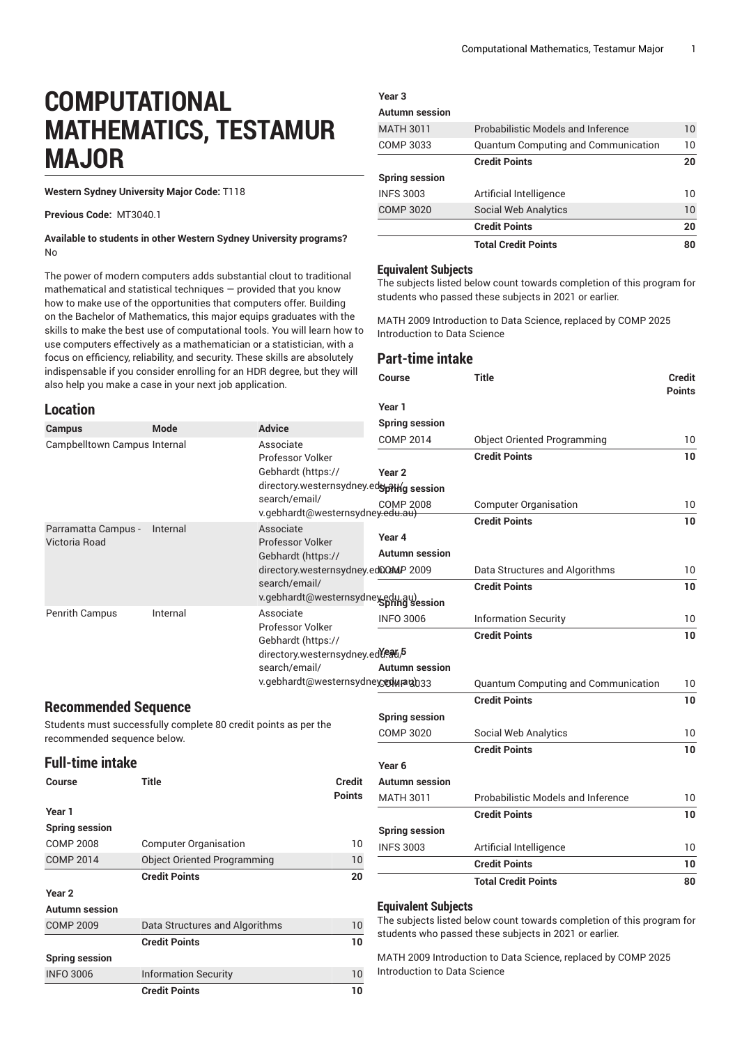# **COMPUTATIONAL MATHEMATICS, TESTAMUR MAJOR**

**Western Sydney University Major Code:** T118

**Previous Code:** MT3040.1

#### **Available to students in other Western Sydney University programs?** No

The power of modern computers adds substantial clout to traditional mathematical and statistical techniques — provided that you know how to make use of the opportunities that computers offer. Building on the Bachelor of Mathematics, this major equips graduates with the skills to make the best use of computational tools. You will learn how to use computers effectively as a mathematician or a statistician, with a focus on efficiency, reliability, and security. These skills are absolutely indispensable if you consider enrolling for an HDR degree, but they will also help you make a case in your ne

#### **Location**

|                       | <b>Credit Points</b>                       |    |  |  |  |
|-----------------------|--------------------------------------------|----|--|--|--|
| <b>COMP 3020</b>      | <b>Social Web Analytics</b>                | 10 |  |  |  |
| <b>INFS 3003</b>      | Artificial Intelligence                    | 10 |  |  |  |
| <b>Spring session</b> |                                            |    |  |  |  |
|                       | <b>Credit Points</b>                       | 20 |  |  |  |
| COMP 3033             | <b>Quantum Computing and Communication</b> | 10 |  |  |  |
| <b>MATH 3011</b>      | Probabilistic Models and Inference         | 10 |  |  |  |
| <b>Autumn session</b> |                                            |    |  |  |  |
|                       |                                            |    |  |  |  |

**Total Credit Points 80**

#### **Equivalent Subjects**

**Year 3**

The subjects listed below count towards completion of this program for students who passed these subjects in 2021 or earlier.

MATH 2009 Introduction to Data Science, replaced by COMP 2025 Introduction to Data Science

### **Part-time intake**

|                                                                                         | also help you make a case in your next job application.         |                                                                                 | Course                     | Title                                      | Credit<br><b>Points</b> |
|-----------------------------------------------------------------------------------------|-----------------------------------------------------------------|---------------------------------------------------------------------------------|----------------------------|--------------------------------------------|-------------------------|
| <b>Location</b>                                                                         |                                                                 |                                                                                 | Year 1                     |                                            |                         |
| <b>Campus</b>                                                                           | <b>Mode</b>                                                     | <b>Advice</b>                                                                   | <b>Spring session</b>      |                                            |                         |
| Campbelltown Campus Internal                                                            |                                                                 | Associate                                                                       | <b>COMP 2014</b>           | <b>Object Oriented Programming</b>         | 10                      |
|                                                                                         |                                                                 | Professor Volker                                                                |                            | <b>Credit Points</b>                       | 10                      |
|                                                                                         |                                                                 | Gebhardt (https://                                                              | Year 2                     |                                            |                         |
|                                                                                         |                                                                 | directory.westernsydney.edgpithg session                                        |                            |                                            |                         |
|                                                                                         |                                                                 | search/email/<br>Searcrizemail/<br>v.gebhardt@westernsydne <del>y.edu.au)</del> |                            | <b>Computer Organisation</b>               | 10 <sup>°</sup>         |
|                                                                                         |                                                                 | Associate                                                                       |                            | <b>Credit Points</b>                       | 10                      |
| Parramatta Campus -<br>Victoria Road                                                    | Internal                                                        | Professor Volker                                                                | Year 4                     |                                            |                         |
|                                                                                         |                                                                 | Gebhardt (https://                                                              | <b>Autumn session</b>      |                                            |                         |
|                                                                                         |                                                                 | directory.westernsydney.ed0QMP 2009                                             |                            | Data Structures and Algorithms             | 10 <sup>°</sup>         |
|                                                                                         |                                                                 | search/email/                                                                   |                            | <b>Credit Points</b>                       | 10                      |
|                                                                                         |                                                                 | v.gebhardt@westernsydney.edu.au)                                                |                            |                                            |                         |
| Penrith Campus                                                                          | Internal                                                        | Associate                                                                       | <b>INFO 3006</b>           | <b>Information Security</b>                | 10 <sup>°</sup>         |
|                                                                                         |                                                                 | Professor Volker<br>Gebhardt (https://                                          |                            | <b>Credit Points</b>                       | 10                      |
| directory.westernsydney.edleatib<br>search/email/<br>v.gebhardt@westernsydneycedwragb33 |                                                                 |                                                                                 | <b>Autumn session</b>      | <b>Quantum Computing and Communication</b> | 10 <sup>°</sup>         |
| <b>Recommended Sequence</b>                                                             |                                                                 |                                                                                 |                            | <b>Credit Points</b>                       | 10                      |
|                                                                                         |                                                                 |                                                                                 | <b>Spring session</b>      |                                            |                         |
| recommended sequence below.                                                             | Students must successfully complete 80 credit points as per the |                                                                                 | <b>COMP 3020</b>           | <b>Social Web Analytics</b>                | 10                      |
|                                                                                         |                                                                 |                                                                                 |                            | <b>Credit Points</b>                       | 10                      |
| <b>Full-time intake</b>                                                                 |                                                                 |                                                                                 | Year <sub>6</sub>          |                                            |                         |
| <b>Course</b>                                                                           | <b>Title</b>                                                    | <b>Credit</b>                                                                   | <b>Autumn session</b>      |                                            |                         |
|                                                                                         |                                                                 | <b>Points</b>                                                                   | <b>MATH 3011</b>           | Probabilistic Models and Inference         | 10                      |
| Year 1                                                                                  |                                                                 |                                                                                 |                            | <b>Credit Points</b>                       | 10                      |
| <b>Spring session</b>                                                                   |                                                                 |                                                                                 | <b>Spring session</b>      |                                            |                         |
| <b>COMP 2008</b>                                                                        | <b>Computer Organisation</b>                                    | 10                                                                              | <b>INFS 3003</b>           | Artificial Intelligence                    | 10                      |
| <b>COMP 2014</b>                                                                        | <b>Object Oriented Programming</b>                              | 10                                                                              |                            | <b>Credit Points</b>                       | 10                      |
|                                                                                         | <b>Credit Points</b>                                            | 20                                                                              |                            | <b>Total Credit Points</b>                 | 80                      |
| Year <sub>2</sub>                                                                       |                                                                 |                                                                                 |                            |                                            |                         |
| <b>Autumn</b> session                                                                   |                                                                 |                                                                                 | <b>Equivalent Subjects</b> |                                            |                         |

The subjects listed below count towards completion of this program for students who passed these subjects in 2021 or earlier.

MATH 2009 Introduction to Data Science, replaced by COMP 2025 Introduction to Data Science

|                       | <b>Credit Points</b>           | 20 |  |
|-----------------------|--------------------------------|----|--|
| Year 2                |                                |    |  |
| <b>Autumn session</b> |                                |    |  |
| <b>COMP 2009</b>      | Data Structures and Algorithms |    |  |
|                       | <b>Credit Points</b>           | 10 |  |
| <b>Spring session</b> |                                |    |  |
| <b>INFO 3006</b>      | <b>Information Security</b>    | 10 |  |
|                       | <b>Credit Points</b>           | 10 |  |